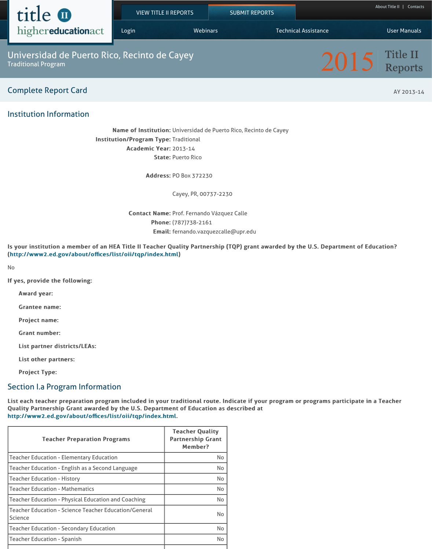#### ,我们就是一个人的人,我们就是一个人的人,我们就是一个人的人,我们就是一个人的人,我们就是一个人的人,我们就是一个人的人,我们就是一个人的人,我们就是一个人的人 [\(http://www2.ed.gov/about/o](https://title2.ed.gov/default.aspx)ffices/list/oii/tqp/index.html)

No

If yes, provide the following:

Award year:

Grantee name:

Project name:

Grant number:

List partner districts/LEAs:

List other partners:

**Project Type:** 

# Section I.a Program Information

List each teacher preparation program included in your traditional route. Ind Quality Partnership Grant awarded by the U.S. Department of Education as do http://www2.ed.gov/about/offices/list/oii/tqp/index.html.

| <b>Teacher Preparation Programs</b>                                            | <b>Teacher Quality</b><br><b>Partnership Grant</b><br><b>Member?</b> |
|--------------------------------------------------------------------------------|----------------------------------------------------------------------|
| <b>Teacher Education - Elementary Education</b>                                | <b>No</b>                                                            |
| <b>Teacher Education - English as a Second Language</b>                        | <b>No</b>                                                            |
| <b>Teacher Education - History</b>                                             | <b>No</b>                                                            |
| <b>Teacher Education - Mathematics</b>                                         | <b>No</b>                                                            |
| Teacher Education - Physical Education and Coaching                            | <b>No</b>                                                            |
| <b>Teacher Education - Science Teacher Education/General</b><br><b>Science</b> | <b>No</b>                                                            |
| <b>Teacher Education - Secondary Education</b>                                 | <b>No</b>                                                            |
| <b>Teacher Education - Spanish</b>                                             | <b>No</b>                                                            |
|                                                                                |                                                                      |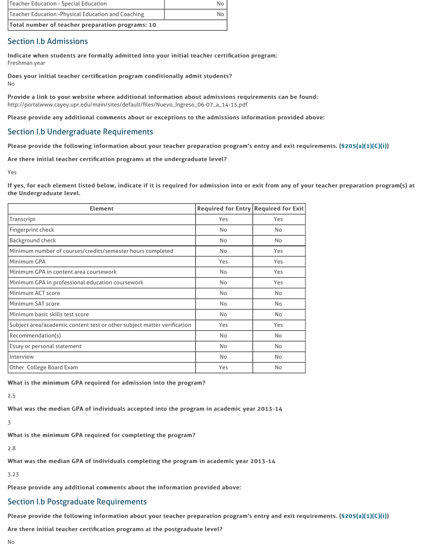| [Minimum number of courses/credits/semester hours completed             | No        |
|-------------------------------------------------------------------------|-----------|
| Minimum GPA                                                             | Yes       |
| Minimum GPA in content area coursework                                  | <b>No</b> |
| Minimum GPA in professional education coursework                        | <b>No</b> |
| <b>Minimum ACT score</b>                                                | <b>No</b> |
| <b>Minimum SAT score</b>                                                | <b>No</b> |
| Minimum basic skills test score                                         | <b>No</b> |
| Subject area/academic content test or other subject matter verification | Yes       |
| Recommendation(s)                                                       | <b>No</b> |
| Essay or personal statement                                             | <b>No</b> |
| Interview                                                               | <b>No</b> |
| <b>Other College Board Exam</b>                                         | Yes       |

What is the minimum GPA required for admission into the program?

2.5

What was the median GPA of individuals accepted into the program in academic year 2013-14 What was the median

3

What is the minimum GPA required for completing the program?

2.8

What was the median GPA of individuals completing the program in academic

3.23

Please provide any additional comments about the information provided abo

#### Section I.b Postgraduate Requirements

Please provide the following information about your teacher preparation pro

Are there initial teacher certification programs at the postgraduate level?

No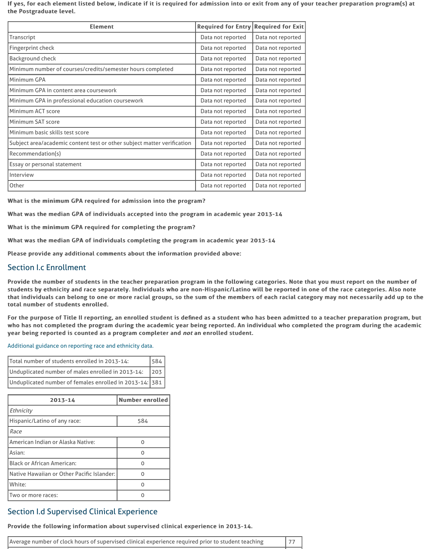Please provide any additional comments about the information provided abo

## Section I.c Enrollment

Provide the number of students in the teacher preparation program in the fo students by ethnicity and race separately. Individuals who are non-Hispanic/ that individuals can belong to one or more racial groups, so the sum of the m total number of students enrolled.

For the purpose of Title II reporting, an enrolled student is defined as a stude who has not completed the program during the academic year being reported year being reported is counted as a program completer and *not* an enrolled students.

Additional guidance on reporting race and ethnicity data.

| 1584<br>Total number of students enrolled in 2013-14:          |  |
|----------------------------------------------------------------|--|
| Unduplicated number of males enrolled in 2013-14: $\,$ 203     |  |
| Unduplicated number of females enrolled in 2013-14: 381 $\mid$ |  |

| 2013-14                                    | <b>Number enrolled</b> |  |  |
|--------------------------------------------|------------------------|--|--|
| <b>Ethnicity</b>                           |                        |  |  |
| Hispanic/Latino of any race:               | 584                    |  |  |
| Race                                       |                        |  |  |
| American Indian or Alaska Native:          | ( )                    |  |  |
| Asian:                                     |                        |  |  |
| <b>Black or African American:</b>          |                        |  |  |
| Native Hawaiian or Other Pacific Islander: | n                      |  |  |
| White:                                     |                        |  |  |
| Two or more races:                         |                        |  |  |

# Section I.d Supervised Clinical Experience

#### Provide the following information about supervised clinical experience in 20

Average number of clock hours of supervised clinical experience required prior to stud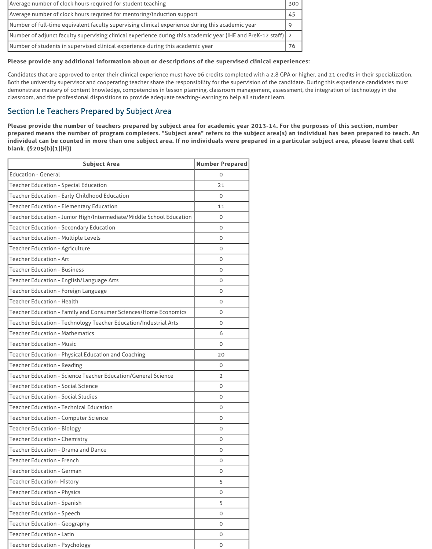| Average number of clock hours required for student teaching                                                   |    |  |
|---------------------------------------------------------------------------------------------------------------|----|--|
| Average number of clock hours required for mentoring/induction support<br>45                                  |    |  |
| Number of full-time equivalent faculty supervising clinical experience during this academic year              |    |  |
| Number of adjunct faculty supervising clinical experience during this academic year (IHE and PreK-12 staff) 2 |    |  |
| Number of students in supervised clinical experience during this academic year                                | 76 |  |

#### Please provide any additional information about or descriptions of the supervised clinical experiences:

Candidates that are approved to enter their clinical experience must have 96 credits completed with a 2.8 GPA or higher, and 21 credits in their specialization. Both the university supervisor and cooperating teacher share the responsibility for the supervision of the candidate. During this experience candidates must demonstrate mastery of content knowledge, competencies in lesson planning, classroom management, assessment, the integration of technology in the classroom, and the professional dispositions to provide adequate teaching-learning to help all student learn.

Please provide the number of teachers prepared by subject area for academic year 2013-14. For the purposes of this section, number prepared means the number of program completers. "Subject area" refers to the subject area(s) an individual has been prepared to teach. An individual can be counted in more than one subject area. If no individuals were prepared in a particular subject area, please leave that cell blank. (§205(b)(1)(H)) blank. (§205(b)(1)(H))

#### Section I.e Teachers Prepared by Subject Area

| <b>Subject Area</b>                                                     | <b>Number Prepared</b> |
|-------------------------------------------------------------------------|------------------------|
| <b>Education - General</b>                                              | $\mathbf 0$            |
| <b>Teacher Education - Special Education</b>                            | 21                     |
| <b>Teacher Education - Early Childhood Education</b>                    | $\mathbf 0$            |
| <b>Teacher Education - Elementary Education</b>                         | 11                     |
| Teacher Education - Junior High/Intermediate/Middle School Education    | $\mathbf 0$            |
| <b>Teacher Education - Secondary Education</b>                          | $\mathbf 0$            |
| <b>Teacher Education - Multiple Levels</b>                              | $\mathbf 0$            |
| <b>Teacher Education - Agriculture</b>                                  | $\mathbf 0$            |
| <b>Teacher Education - Art</b>                                          | $\mathbf 0$            |
| <b>Teacher Education - Business</b>                                     | $\mathbf 0$            |
| <b>Teacher Education - English/Language Arts</b>                        | $\mathbf 0$            |
| <b>Teacher Education - Foreign Language</b>                             | $\mathbf 0$            |
| <b>Teacher Education - Health</b>                                       | $\mathbf 0$            |
| <b>Teacher Education - Family and Consumer Sciences/Home Economics</b>  | 0                      |
| <b>Teacher Education - Technology Teacher Education/Industrial Arts</b> | $\mathbf 0$            |
| <b>Teacher Education - Mathematics</b>                                  | 6                      |
| <b>Teacher Education - Music</b>                                        | $\mathbf 0$            |
| <b>Teacher Education - Physical Education and Coaching</b>              | 20                     |
| <b>Teacher Education - Reading</b>                                      | $\mathbf 0$            |
| <b>Teacher Education - Science Teacher Education/General Science</b>    | $\overline{2}$         |
| <b>Teacher Education - Social Science</b>                               | $\mathbf 0$            |
| <b>Teacher Education - Social Studies</b>                               | $\mathbf 0$            |
| <b>Teacher Education - Technical Education</b>                          | $\mathbf 0$            |
| <b>Teacher Education - Computer Science</b>                             | O                      |
| <b>Teacher Education - Biology</b>                                      | $\mathbf 0$            |
| <b>Teacher Education - Chemistry</b>                                    | $\mathbf 0$            |
| <b>Teacher Education - Drama and Dance</b>                              | O                      |
| <b>Teacher Education - French</b>                                       | $\mathbf 0$            |
| <b>Teacher Education - German</b>                                       | $\mathbf 0$            |
| <b>Teacher Education- History</b>                                       | 5                      |
| <b>Teacher Education - Physics</b>                                      | $\mathbf 0$            |
| <b>Teacher Education - Spanish</b>                                      | 5                      |
| <b>Teacher Education - Speech</b>                                       | $\mathbf 0$            |
| <b>Teacher Education - Geography</b>                                    | $\mathbf 0$            |
| <b>Teacher Education - Latin</b>                                        | $\mathbf 0$            |
| <b>Teacher Education - Psychology</b>                                   | $\mathbf 0$            |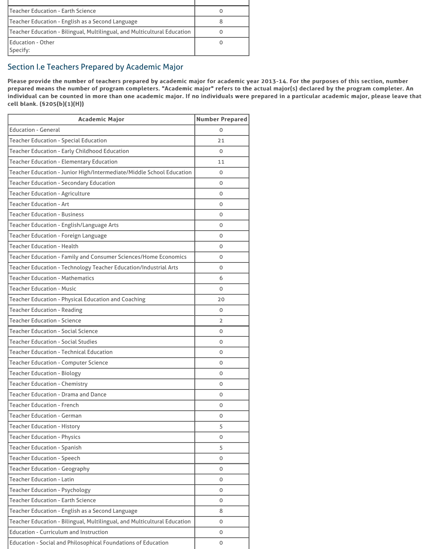| l Teacher Education - Earth Science                                      |  |
|--------------------------------------------------------------------------|--|
| Teacher Education - English as a Second Language                         |  |
| Teacher Education - Bilingual, Multilingual, and Multicultural Education |  |
| <b>Education - Other</b><br>Specify:                                     |  |

# Section I.e Teachers Prepared by Academic Major

Please provide the number of teachers prepared by academic major for academic year 2013-14. For the purposes of this section, number prepared means the number of program completers. "Academic major" refers to the actual major(s) declared by the program completer. An individual can be counted in more than one academic major. If no individuals were prepared in a particular academic major, please leave that cell blank. (§205(b)(1)(H))

| <b>Academic Major</b>                                                    | <b>Number Prepared</b> |
|--------------------------------------------------------------------------|------------------------|
| <b>Education - General</b>                                               | $\overline{O}$         |
| <b>Teacher Education - Special Education</b>                             | 21                     |
| <b>Teacher Education - Early Childhood Education</b>                     | $\overline{O}$         |
| <b>Teacher Education - Elementary Education</b>                          | 11                     |
| Teacher Education - Junior High/Intermediate/Middle School Education     | $\mathbf 0$            |
| <b>Teacher Education - Secondary Education</b>                           | $\mathbf 0$            |
| <b>Teacher Education - Agriculture</b>                                   | $\mathbf 0$            |
| <b>Teacher Education - Art</b>                                           | $\mathbf 0$            |
| <b>Teacher Education - Business</b>                                      | $\mathbf 0$            |
| <b>Teacher Education - English/Language Arts</b>                         | $\mathbf 0$            |
| <b>Teacher Education - Foreign Language</b>                              | $\mathbf 0$            |
| <b>Teacher Education - Health</b>                                        | $\mathbf{O}$           |
| <b>Teacher Education - Family and Consumer Sciences/Home Economics</b>   | $\mathbf 0$            |
| <b>Teacher Education - Technology Teacher Education/Industrial Arts</b>  | $\Omega$               |
| <b>Teacher Education - Mathematics</b>                                   | 6                      |
| <b>Teacher Education - Music</b>                                         | $\overline{O}$         |
| <b>Teacher Education - Physical Education and Coaching</b>               | 20                     |
| <b>Teacher Education - Reading</b>                                       | $\mathbf 0$            |
| <b>Teacher Education - Science</b>                                       | $\overline{2}$         |
| <b>Teacher Education - Social Science</b>                                | $\mathbf 0$            |
| <b>Teacher Education - Social Studies</b>                                | $\mathbf 0$            |
| <b>Teacher Education - Technical Education</b>                           | $\overline{O}$         |
| <b>Teacher Education - Computer Science</b>                              | $\mathbf 0$            |
| <b>Teacher Education - Biology</b>                                       | $\mathbf 0$            |
| <b>Teacher Education - Chemistry</b>                                     | $\overline{O}$         |
| <b>Teacher Education - Drama and Dance</b>                               | $\mathbf 0$            |
| <b>Teacher Education - French</b>                                        | $\mathbf 0$            |
| <b>Teacher Education - German</b>                                        | $\overline{O}$         |
| <b>Teacher Education - History</b>                                       | 5                      |
| <b>Teacher Education - Physics</b>                                       | $\Omega$               |
| <b>Teacher Education - Spanish</b>                                       | 5                      |
| <b>Teacher Education - Speech</b>                                        | $\overline{0}$         |
| <b>Teacher Education - Geography</b>                                     | $\mathbf 0$            |
| <b>Teacher Education - Latin</b>                                         | $\mathbf 0$            |
| <b>Teacher Education - Psychology</b>                                    | $\mathbf 0$            |
| <b>Teacher Education - Earth Science</b>                                 | $\mathbf 0$            |
| <b>Teacher Education - English as a Second Language</b>                  | 8                      |
| Teacher Education - Bilingual, Multilingual, and Multicultural Education | $\mathbf 0$            |
| <b>Education - Curriculum and Instruction</b>                            | $\mathbf 0$            |
| <b>Education - Social and Philosophical Foundations of Education</b>     | $\mathbf 0$            |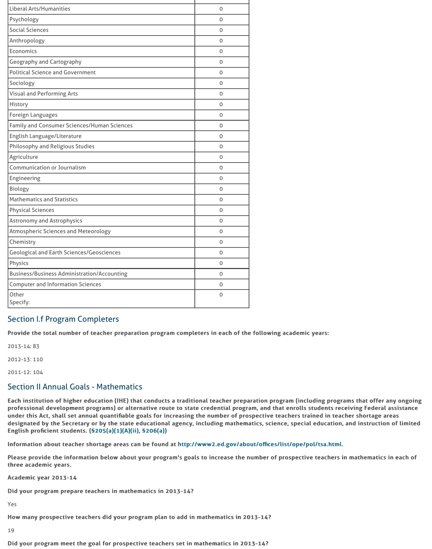| Geological and Earth Sciences/Geosciences   |  |
|---------------------------------------------|--|
| <b>Physics</b>                              |  |
| Business/Business Administration/Accounting |  |
| <b>Computer and Information Sciences</b>    |  |
| <b>Other</b>                                |  |
| Specify:                                    |  |

## Section I.f Program Completers

Provide the total number of teacher preparation program completers in each

2013-14: 83

2012-13: 110

2011-12: 104

#### Section II Annual Goals - Mathematics

Each institution of higher education (IHE) that conducts a traditional teacher professional development programs) or alternative route to state credential under this Act, shall set annual quantifiable goals for increasing the number designated by the Secretary or by the state educational agency, including ma English proficient students. (§205(a)(1)(A)(ii), §206(a))

Information about teacher shortage areas can be found at http://www2.ed.go

Please provide the information below about your program's goals to increase three academic years.

Academic year 2013-14

Did your program prepare teachers in mathematics in 2013-14?

Yes

How many prospective teachers did your program plan to add in mathematics

19

Did your program meet the goal for prospective teachers set in mathematics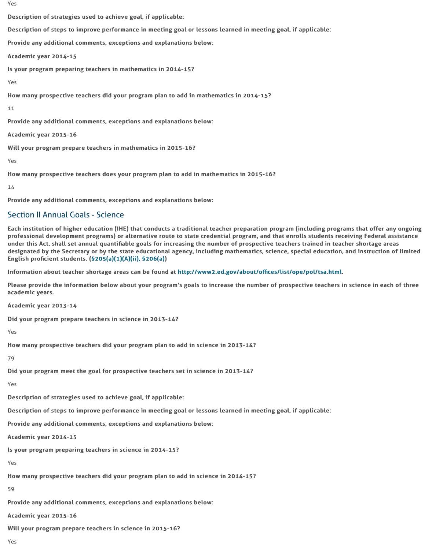designated by the Secretary or by the state educational agency, including ma English proficient students. (§205(a)(1)(A)(ii), §206(a))

Information about teacher shortage areas can be found at http://www2.ed.go

Please provide the information below about your program's goals to increase academic years.

Academic year 2013-14

Did your program prepare teachers in science in 2013-14?

Yes

How many prospective teachers did your program plan to add in science in 2

79

Did your program meet the goal for prospective teachers set in science in 20

Yes

Description of strategies used to achieve goal, if applicable:

Description of steps to improve performance in meeting goal or lessons learned in meeting goal.

Provide any additional comments, exceptions and explanations below:

Academic year 2014-15

Is your program preparing teachers in science in 2014-15?

Yes

How many prospective teachers did your program plan to add in science in 2

59

Provide any additional com[ments, exceptions and exp](http://frwebgate.access.gpo.gov/cgi-bin/getdoc.cgi?dbname=110_cong_public_laws&docid=f:publ315.110.pdf)lanations below:

Academic year 2015-16

Will your program prepare teachers in science in 2015-16?

Yes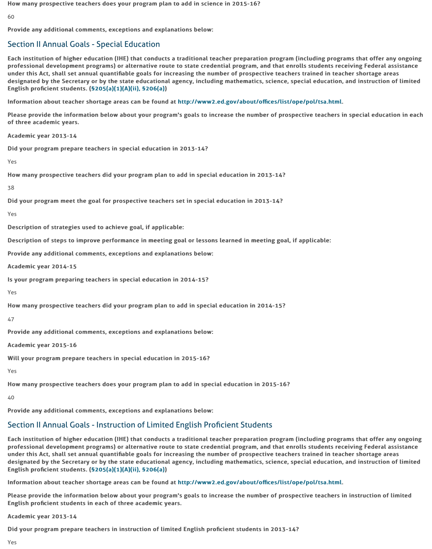Provide any additional comments, exceptions and explanations below:

Academic year 2014-15

Is your program preparing teachers in special education in 2014-15?

Yes

How many prospective teachers did your program plan to add in special educ

47

Provide any additional com[ments, exceptions and exp](http://frwebgate.access.gpo.gov/cgi-bin/getdoc.cgi?dbname=110_cong_public_laws&docid=f:publ315.110.pdf)lanations below:

Academic year 2015-16

Will your program prepare teachers in special education in 2015-16?

Yes

How many prospective teachers does your program plan to add in special education in 2015-16. How many prospective teachers does your program plan to add in special edu

40

Provide any additional comments, exceptions and explanations below:

# Section II Annual Goals - Instruction of Limited English Proficie

Each institution of higher education (IHE) that conducts a traditional teacher professional development programs) or alternative route to state credential under this Act, shall set annual quantifiable goals for increasing the number designated by the Secretary or by the state educational agency, including ma English proficient students.  $(S205(a)(1)(A)(ii)$ , §206(a))

Information about teacher shortage areas can be found at http://www2.ed.go

Please provide the information below about your program's goals to increase English proficient students in each of three academic years.

Academic year 2013-14

Did your program prepare teachers in instruction of limited English proficien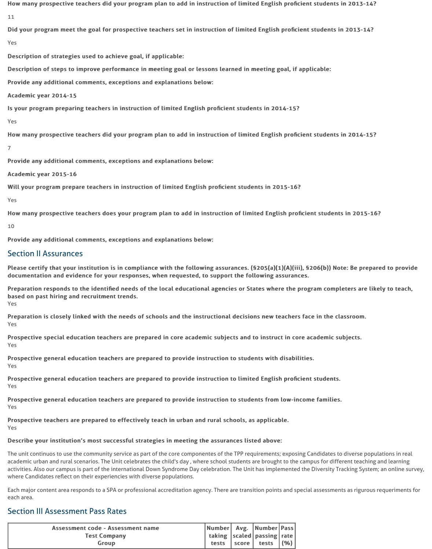How many prospective teachers did your program plan to add in instruction of limited English proficient students in 2013-14?

11

Did your program meet the goal for prospective teachers set in instruction of limited English proficient students in 2013-14?

Yes

Description of strategies used to achieve goal, if applicable:

Description of steps to improve performance in meeting goal or lessons learned in meeting goal, if applicable:

Provide any additional comments, exceptions and explanations below:

Academic year 2014-15

Is your program preparing teachers in instruction of limited English proficient students in 2014-15?

Yes

How many prospective teachers did your program plan to add in instruction of limited English proficient students in 2014-15?

7

Provide any additional comments, exceptions and explanations below:

Academic year 2015-16

Will your program prepare teachers in instruction of limited English proficient students in 2015-16?

Preparation responds to the identified needs of the local educational agencies or States where the program completers are likely to teach, based on past hiring and recruitment trends. Yes

Preparation is closely linked with the needs of schools and the instructional decisions new teachers face in the classroom. Yes

Prospective special education teachers are prepared in core academic subjects and to instruct in core academic subjects. Yes

Yes

How many prospective teachers does your program plan to add in instruction of limited English proficient students in 2015-16?

Prospective general education teachers are prepared to provide instruction to students with disabilities. Yes

Prospective general education teachers are prepared to provide instruction to limited English proficient students. Yes

10

Provide any additional comments, exceptions and explanations below:

Prospective general education teachers are prepared to provide instruction to students from low-income families. Yes

Prospective teachers are prepared to effectively teach in urban and rural schools, as applicable. Yes

Describe your institution's most successful strategies in meeting the assurances listed above:

# Section II Assurances

Please certify that your institution is in compliance with the following assurances. (\$205(a)(1)(A)(iii), \$206(b)) Note: Be prepared to provide documentation and evidence for your responses, when requested, to support the following assurances.

The unit continuos to use the community service as part of the core componentes of the TPP requirements; exposing Candidates to diverse populations in real academic urban and rural scenarios. The Unit celebrates the child's day , where school students are brought to the campus for different teaching and learning activities. Also our campus is part of the international Down Syndrome Day celebration. The Unit has implemented the Diversity Tracking System; an online survey, where Candidates reflect on their experiencies with diverse populations.

Each major content area responds to a SPA or professional accreditation agency. There are transition points and special assessments as rigurous requeriments for each area.

#### Section III Assessment Pass Rates

| Assessment code - Assessment name | Number Avg. Number Pass              |                                   |  |
|-----------------------------------|--------------------------------------|-----------------------------------|--|
| <b>Test Company</b>               | taking $ s$ caled   passing $ r$ ate |                                   |  |
| Group                             |                                      | tests $ $ score $ $ tests $ (%) $ |  |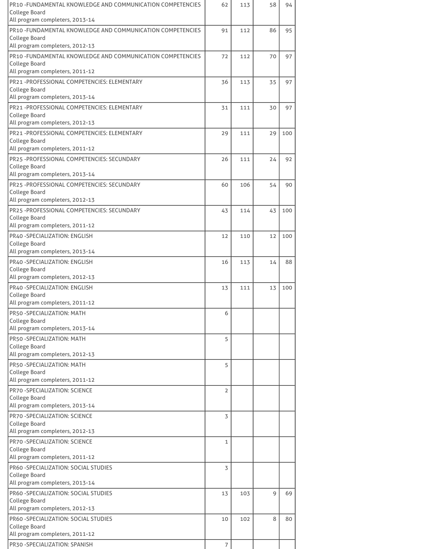| PR10 - FUNDAMENTAL KNOWLEDGE AND COMMUNICATION COMPETENCIES                         | 62             | 113 | 58 | 94  |
|-------------------------------------------------------------------------------------|----------------|-----|----|-----|
| <b>College Board</b><br>All program completers, 2013-14                             |                |     |    |     |
| PR10 - FUNDAMENTAL KNOWLEDGE AND COMMUNICATION COMPETENCIES                         | 91             | 112 | 86 | 95  |
| <b>College Board</b>                                                                |                |     |    |     |
| All program completers, 2012-13                                                     |                |     |    |     |
| PR10 - FUNDAMENTAL KNOWLEDGE AND COMMUNICATION COMPETENCIES<br><b>College Board</b> | 72             | 112 | 70 | 97  |
| All program completers, 2011-12                                                     |                |     |    |     |
| PR21-PROFESSIONAL COMPETENCIES: ELEMENTARY                                          | 36             | 113 | 35 | 97  |
| <b>College Board</b>                                                                |                |     |    |     |
| All program completers, 2013-14<br>PR21-PROFESSIONAL COMPETENCIES: ELEMENTARY       |                |     |    |     |
| <b>College Board</b>                                                                | 31             | 111 | 30 | 97  |
| All program completers, 2012-13                                                     |                |     |    |     |
| PR21-PROFESSIONAL COMPETENCIES: ELEMENTARY                                          | 29             | 111 | 29 | 100 |
| <b>College Board</b><br>All program completers, 2011-12                             |                |     |    |     |
| PR25-PROFESSIONAL COMPETENCIES: SECUNDARY                                           | 26             | 111 | 24 | 92  |
| <b>College Board</b>                                                                |                |     |    |     |
| All program completers, 2013-14                                                     |                |     |    |     |
| PR25 - PROFESSIONAL COMPETENCIES: SECUNDARY                                         | 60             | 106 | 54 | 90  |
| <b>College Board</b><br>All program completers, 2012-13                             |                |     |    |     |
| PR25 - PROFESSIONAL COMPETENCIES: SECUNDARY                                         | 43             | 114 | 43 | 100 |
| <b>College Board</b>                                                                |                |     |    |     |
| All program completers, 2011-12                                                     |                |     |    |     |
| PR40 - SPECIALIZATION: ENGLISH<br><b>College Board</b>                              | 12             | 110 | 12 | 100 |
| All program completers, 2013-14                                                     |                |     |    |     |
| PR40 - SPECIALIZATION: ENGLISH                                                      | 16             | 113 | 14 | 88  |
| <b>College Board</b>                                                                |                |     |    |     |
| All program completers, 2012-13                                                     |                |     |    |     |
| PR40 - SPECIALIZATION: ENGLISH<br><b>College Board</b>                              | 13             | 111 | 13 | 100 |
| All program completers, 2011-12                                                     |                |     |    |     |
| PR50-SPECIALIZATION: MATH                                                           | 6              |     |    |     |
| <b>College Board</b><br>All program completers, 2013-14                             |                |     |    |     |
| PR50-SPECIALIZATION: MATH                                                           | 5              |     |    |     |
| <b>College Board</b>                                                                |                |     |    |     |
| All program completers, 2012-13                                                     |                |     |    |     |
| PR50-SPECIALIZATION: MATH<br><b>College Board</b>                                   | 5              |     |    |     |
| All program completers, 2011-12                                                     |                |     |    |     |
| <b>PR70 -SPECIALIZATION: SCIENCE</b>                                                | $\overline{2}$ |     |    |     |
| <b>College Board</b>                                                                |                |     |    |     |
| All program completers, 2013-14                                                     |                |     |    |     |
| <b>PR70 -SPECIALIZATION: SCIENCE</b><br><b>College Board</b>                        | 3              |     |    |     |
| All program completers, 2012-13                                                     |                |     |    |     |
| <b>PR70 -SPECIALIZATION: SCIENCE</b>                                                | 1              |     |    |     |
| <b>College Board</b><br>All program completers, 2011-12                             |                |     |    |     |
| <b>PR60 -SPECIALIZATION: SOCIAL STUDIES</b>                                         | $\overline{3}$ |     |    |     |
| <b>College Board</b>                                                                |                |     |    |     |
| All program completers, 2013-14                                                     |                |     |    |     |
| PR60 -SPECIALIZATION: SOCIAL STUDIES                                                | 13             | 103 | 9  | 69  |
| <b>College Board</b><br>All program completers, 2012-13                             |                |     |    |     |
| PR60 - SPECIALIZATION: SOCIAL STUDIES                                               | 10             | 102 | 8  | 80  |
| <b>College Board</b>                                                                |                |     |    |     |
| All program completers, 2011-12                                                     |                |     |    |     |
| PR30-SPECIALIZATION: SPANISH                                                        | $\overline{7}$ |     |    |     |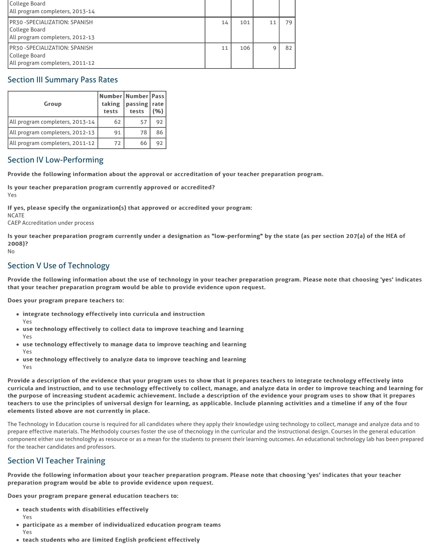| College Board                       |    |     |    |    |
|-------------------------------------|----|-----|----|----|
| All program completers, 2013-14     |    |     |    |    |
| <b>PR30-SPECIALIZATION: SPANISH</b> | 14 | 101 | 11 | 79 |
| College Board                       |    |     |    |    |
| All program completers, 2012-13     |    |     |    |    |
| <b>PR30-SPECIALIZATION: SPANISH</b> | 11 | 106 |    | 82 |
| College Board                       |    |     |    |    |
| All program completers, 2011-12     |    |     |    |    |

## Section III Summary Pass Rates

| Group                           | taking<br>tests | Number Number Pass <br>passing   rate  <br>tests | (96) |
|---------------------------------|-----------------|--------------------------------------------------|------|
| All program completers, 2013-14 | 62              | 57                                               | 92   |
| All program completers, 2012-13 | 91              | 78                                               | 86   |
| All program completers, 2011-12 | 72              | 66                                               |      |

# Section IV Low-Performing

Provide the following information about the approval or accreditation of your teacher preparation program.

Is your teacher preparation program currently approved or accredited?

Is your teacher preparation program currently under a designation as "low-performing" by the state (as per section 207(a) of the HEA of 2008)?

Yes

If yes, please specify the organization(s) that approved or accredited your program:

**NCATE** 

CAEP Accreditation under process

- integrate technology effectively into curricula and instruction Yes
- use technology effectively to collect data to improve teaching and learning Yes
- use technology effectively to manage data to improve teaching and learning Yes
- use technology effectively to analyze data to improve teaching and learning Yes

Provide a description of the evidence that your program uses to show that it prepares teachers to integrate technology effectively into curricula and instruction, and to use technology effectively to collect, manage, and analyze data in order to improve teaching and learning for the purpose of increasing student academic achievement. Include a description of the evidence your program uses to show that it prepares teachers to use the principles of universal design for learning, as applicable. Include planning activities and a timeline if any of the four elements listed above are not currently in place.

No

# Section V Use of Technology

Provide the following information about the use of technology in your teacher preparation program. Please note that choosing 'yes' indicates that your teacher preparation program would be able to provide evidence upon request.

Does your program prepare teachers to:

The Technology in Education course is required for all candidates where they apply their knowledge using technology to collect, manage and analyze data and to prepare effective materials. The Methodoly courses foster the use of thecnology in the curricular and the instructional design. Courses in the general education component either use technologhy as resource or as a mean for the students to present their learning outcomes. An educational technology lab has been prepared for the teacher candidates and professors.

#### Section VI Teacher Training

Provide the following information about your teacher preparation program. Please note that choosing 'yes' indicates that your teacher preparation program would be able to provide evidence upon request.

Does your program prepare general education teachers to:

- $\bullet$  teach students with disabilities effectively Yes
- participate as a member of individualized education program teams Yes
- teach students who are limited English proficient effectively